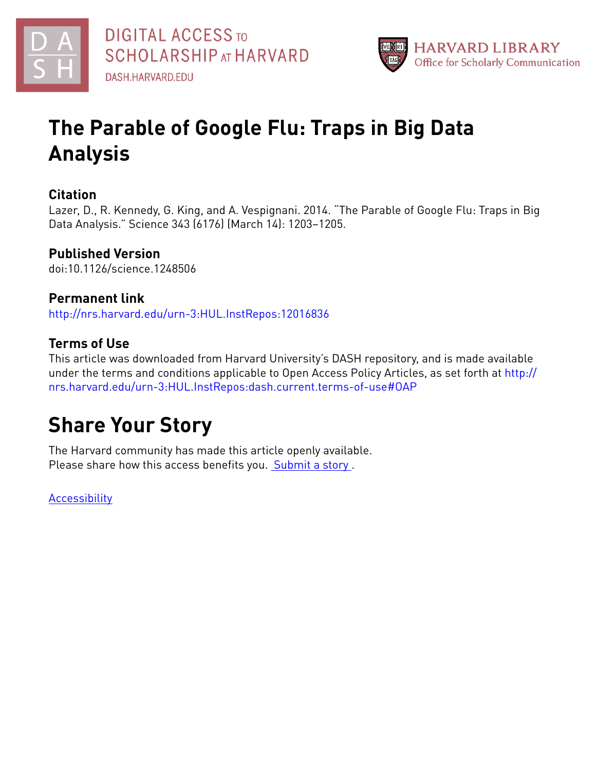



# **The Parable of Google Flu: Traps in Big Data Analysis**

### **Citation**

Lazer, D., R. Kennedy, G. King, and A. Vespignani. 2014. "The Parable of Google Flu: Traps in Big Data Analysis." Science 343 (6176) (March 14): 1203–1205.

## **Published Version**

doi:10.1126/science.1248506

## **Permanent link**

<http://nrs.harvard.edu/urn-3:HUL.InstRepos:12016836>

## **Terms of Use**

This article was downloaded from Harvard University's DASH repository, and is made available under the terms and conditions applicable to Open Access Policy Articles, as set forth at [http://](http://nrs.harvard.edu/urn-3:HUL.InstRepos:dash.current.terms-of-use#OAP) [nrs.harvard.edu/urn-3:HUL.InstRepos:dash.current.terms-of-use#OAP](http://nrs.harvard.edu/urn-3:HUL.InstRepos:dash.current.terms-of-use#OAP)

# **Share Your Story**

The Harvard community has made this article openly available. Please share how this access benefits you. [Submit](http://osc.hul.harvard.edu/dash/open-access-feedback?handle=&title=The%20Parable%20of%20Google%20Flu:%20Traps%20in%20Big%20Data%20Analysis&community=1/1&collection=1/2&owningCollection1/2&harvardAuthors=fd8455705aadc8cd2493d48f68608dfe&departmentOther%20Research%20Unit) a story.

**[Accessibility](https://dash.harvard.edu/pages/accessibility)**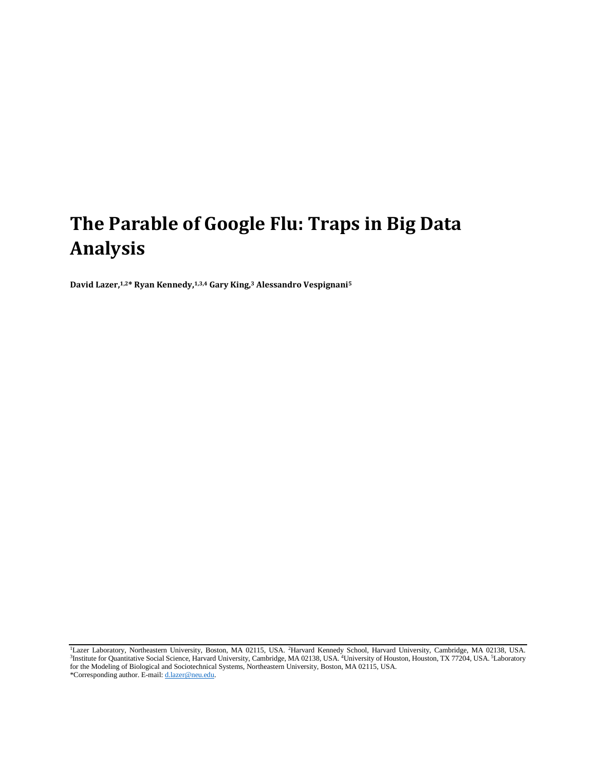## **The Parable of Google Flu: Traps in Big Data Analysis**

**David Lazer, 1,2\* Ryan Kennedy, 1,3,4 Gary King, <sup>3</sup> Alessandro Vespignani<sup>5</sup>**

<sup>&</sup>lt;sup>1</sup>Lazer Laboratory, Northeastern University, Boston, MA 02115, USA. <sup>2</sup>Harvard Kennedy School, Harvard University, Cambridge, MA 02138, USA. <sup>3</sup>Institute for Quantitative Social Science, Harvard University, Cambridge, MA for the Modeling of Biological and Sociotechnical Systems, Northeastern University, Boston, MA 02115, USA. \*Corresponding author. E-mail[: d.lazer@neu.edu.](mailto:d.lazer@neu.edu)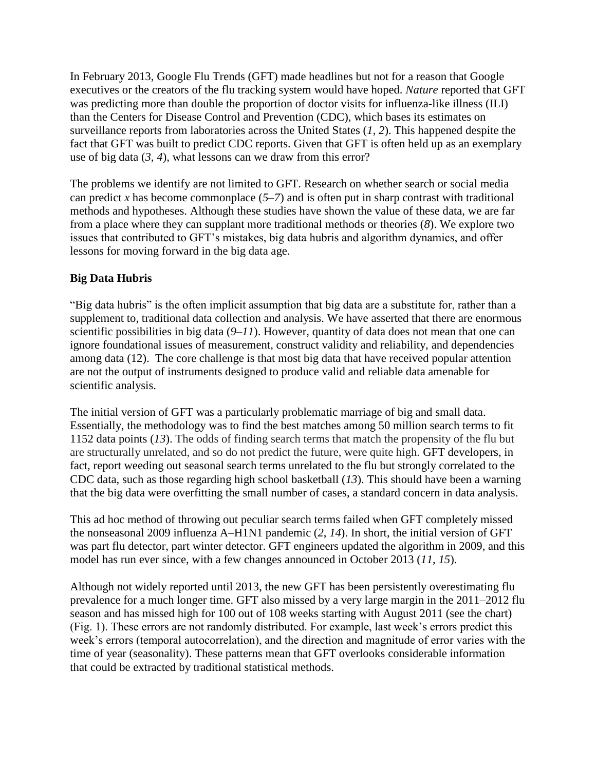In February 2013, Google Flu Trends (GFT) made headlines but not for a reason that Google executives or the creators of the flu tracking system would have hoped. *Nature* reported that GFT was predicting more than double the proportion of doctor visits for influenza-like illness (ILI) than the Centers for Disease Control and Prevention (CDC), which bases its estimates on surveillance reports from laboratories across the United States (*1*, *2*). This happened despite the fact that GFT was built to predict CDC reports. Given that GFT is often held up as an exemplary use of big data (*3*, *4*), what lessons can we draw from this error?

The problems we identify are not limited to GFT. Research on whether search or social media can predict *x* has become commonplace  $(5-7)$  and is often put in sharp contrast with traditional methods and hypotheses. Although these studies have shown the value of these data, we are far from a place where they can supplant more traditional methods or theories (*8*). We explore two issues that contributed to GFT's mistakes, big data hubris and algorithm dynamics, and offer lessons for moving forward in the big data age.

### **Big Data Hubris**

"Big data hubris" is the often implicit assumption that big data are a substitute for, rather than a supplement to, traditional data collection and analysis. We have asserted that there are enormous scientific possibilities in big data (*9*–*11*). However, quantity of data does not mean that one can ignore foundational issues of measurement, construct validity and reliability, and dependencies among data (12). The core challenge is that most big data that have received popular attention are not the output of instruments designed to produce valid and reliable data amenable for scientific analysis.

The initial version of GFT was a particularly problematic marriage of big and small data. Essentially, the methodology was to find the best matches among 50 million search terms to fit 1152 data points (*13*). The odds of finding search terms that match the propensity of the flu but are structurally unrelated, and so do not predict the future, were quite high. GFT developers, in fact, report weeding out seasonal search terms unrelated to the flu but strongly correlated to the CDC data, such as those regarding high school basketball (*13*). This should have been a warning that the big data were overfitting the small number of cases, a standard concern in data analysis.

This ad hoc method of throwing out peculiar search terms failed when GFT completely missed the nonseasonal 2009 influenza A–H1N1 pandemic (*2*, *14*). In short, the initial version of GFT was part flu detector, part winter detector. GFT engineers updated the algorithm in 2009, and this model has run ever since, with a few changes announced in October 2013 (*11*, *15*).

Although not widely reported until 2013, the new GFT has been persistently overestimating flu prevalence for a much longer time. GFT also missed by a very large margin in the 2011–2012 flu season and has missed high for 100 out of 108 weeks starting with August 2011 (see the chart) (Fig. 1). These errors are not randomly distributed. For example, last week's errors predict this week's errors (temporal autocorrelation), and the direction and magnitude of error varies with the time of year (seasonality). These patterns mean that GFT overlooks considerable information that could be extracted by traditional statistical methods.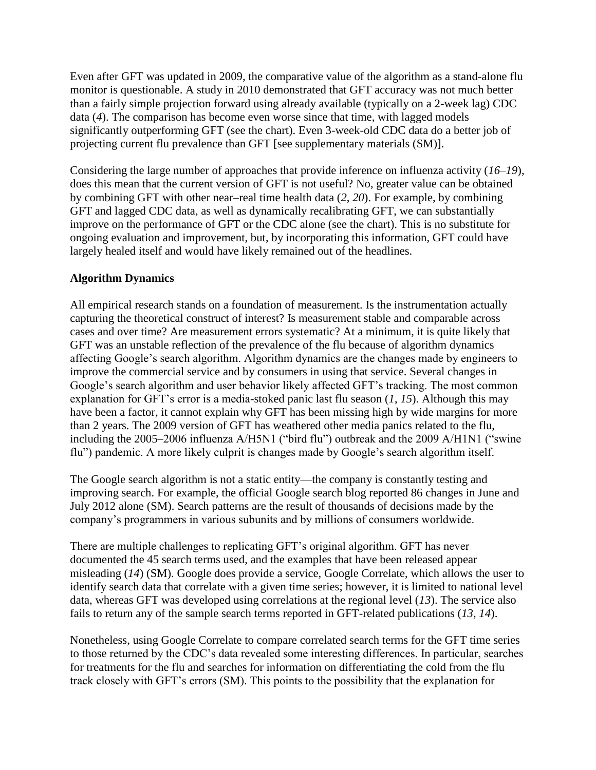Even after GFT was updated in 2009, the comparative value of the algorithm as a stand-alone flu monitor is questionable. A study in 2010 demonstrated that GFT accuracy was not much better than a fairly simple projection forward using already available (typically on a 2-week lag) CDC data (*4*). The comparison has become even worse since that time, with lagged models significantly outperforming GFT (see the chart). Even 3-week-old CDC data do a better job of projecting current flu prevalence than GFT [see supplementary materials (SM)].

Considering the large number of approaches that provide inference on influenza activity (*16*–*19*), does this mean that the current version of GFT is not useful? No, greater value can be obtained by combining GFT with other near–real time health data (*2*, *20*). For example, by combining GFT and lagged CDC data, as well as dynamically recalibrating GFT, we can substantially improve on the performance of GFT or the CDC alone (see the chart). This is no substitute for ongoing evaluation and improvement, but, by incorporating this information, GFT could have largely healed itself and would have likely remained out of the headlines.

### **Algorithm Dynamics**

All empirical research stands on a foundation of measurement. Is the instrumentation actually capturing the theoretical construct of interest? Is measurement stable and comparable across cases and over time? Are measurement errors systematic? At a minimum, it is quite likely that GFT was an unstable reflection of the prevalence of the flu because of algorithm dynamics affecting Google's search algorithm. Algorithm dynamics are the changes made by engineers to improve the commercial service and by consumers in using that service. Several changes in Google's search algorithm and user behavior likely affected GFT's tracking. The most common explanation for GFT's error is a media-stoked panic last flu season (*1*, *15*). Although this may have been a factor, it cannot explain why GFT has been missing high by wide margins for more than 2 years. The 2009 version of GFT has weathered other media panics related to the flu, including the 2005–2006 influenza A/H5N1 ("bird flu") outbreak and the 2009 A/H1N1 ("swine flu") pandemic. A more likely culprit is changes made by Google's search algorithm itself.

The Google search algorithm is not a static entity—the company is constantly testing and improving search. For example, the official Google search blog reported 86 changes in June and July 2012 alone (SM). Search patterns are the result of thousands of decisions made by the company's programmers in various subunits and by millions of consumers worldwide.

There are multiple challenges to replicating GFT's original algorithm. GFT has never documented the 45 search terms used, and the examples that have been released appear misleading (*14*) (SM). Google does provide a service, Google Correlate, which allows the user to identify search data that correlate with a given time series; however, it is limited to national level data, whereas GFT was developed using correlations at the regional level (*13*). The service also fails to return any of the sample search terms reported in GFT-related publications (*13*, *14*).

Nonetheless, using Google Correlate to compare correlated search terms for the GFT time series to those returned by the CDC's data revealed some interesting differences. In particular, searches for treatments for the flu and searches for information on differentiating the cold from the flu track closely with GFT's errors (SM). This points to the possibility that the explanation for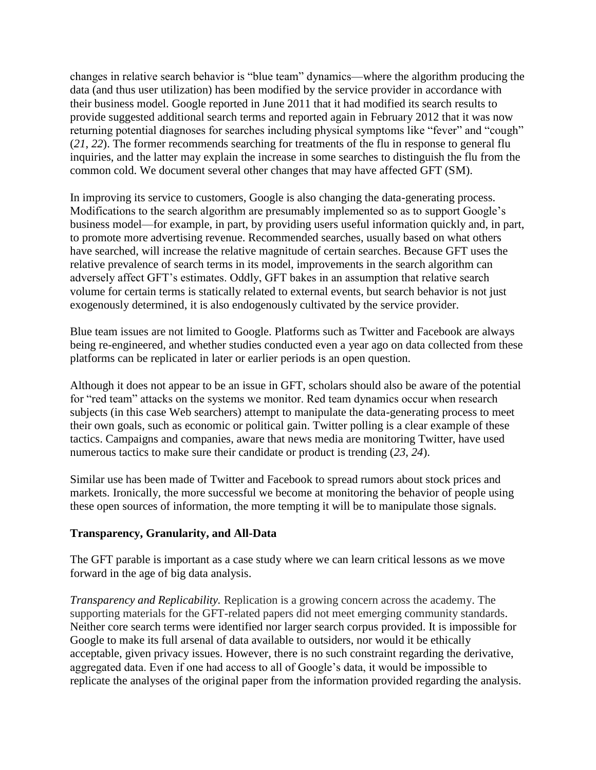changes in relative search behavior is "blue team" dynamics—where the algorithm producing the data (and thus user utilization) has been modified by the service provider in accordance with their business model. Google reported in June 2011 that it had modified its search results to provide suggested additional search terms and reported again in February 2012 that it was now returning potential diagnoses for searches including physical symptoms like "fever" and "cough" (*21*, *22*). The former recommends searching for treatments of the flu in response to general flu inquiries, and the latter may explain the increase in some searches to distinguish the flu from the common cold. We document several other changes that may have affected GFT (SM).

In improving its service to customers, Google is also changing the data-generating process. Modifications to the search algorithm are presumably implemented so as to support Google's business model—for example, in part, by providing users useful information quickly and, in part, to promote more advertising revenue. Recommended searches, usually based on what others have searched, will increase the relative magnitude of certain searches. Because GFT uses the relative prevalence of search terms in its model, improvements in the search algorithm can adversely affect GFT's estimates. Oddly, GFT bakes in an assumption that relative search volume for certain terms is statically related to external events, but search behavior is not just exogenously determined, it is also endogenously cultivated by the service provider.

Blue team issues are not limited to Google. Platforms such as Twitter and Facebook are always being re-engineered, and whether studies conducted even a year ago on data collected from these platforms can be replicated in later or earlier periods is an open question.

Although it does not appear to be an issue in GFT, scholars should also be aware of the potential for "red team" attacks on the systems we monitor. Red team dynamics occur when research subjects (in this case Web searchers) attempt to manipulate the data-generating process to meet their own goals, such as economic or political gain. Twitter polling is a clear example of these tactics. Campaigns and companies, aware that news media are monitoring Twitter, have used numerous tactics to make sure their candidate or product is trending (*23*, *24*).

Similar use has been made of Twitter and Facebook to spread rumors about stock prices and markets. Ironically, the more successful we become at monitoring the behavior of people using these open sources of information, the more tempting it will be to manipulate those signals.

#### **Transparency, Granularity, and All-Data**

The GFT parable is important as a case study where we can learn critical lessons as we move forward in the age of big data analysis.

*Transparency and Replicability.* Replication is a growing concern across the academy. The supporting materials for the GFT-related papers did not meet emerging community standards. Neither core search terms were identified nor larger search corpus provided. It is impossible for Google to make its full arsenal of data available to outsiders, nor would it be ethically acceptable, given privacy issues. However, there is no such constraint regarding the derivative, aggregated data. Even if one had access to all of Google's data, it would be impossible to replicate the analyses of the original paper from the information provided regarding the analysis.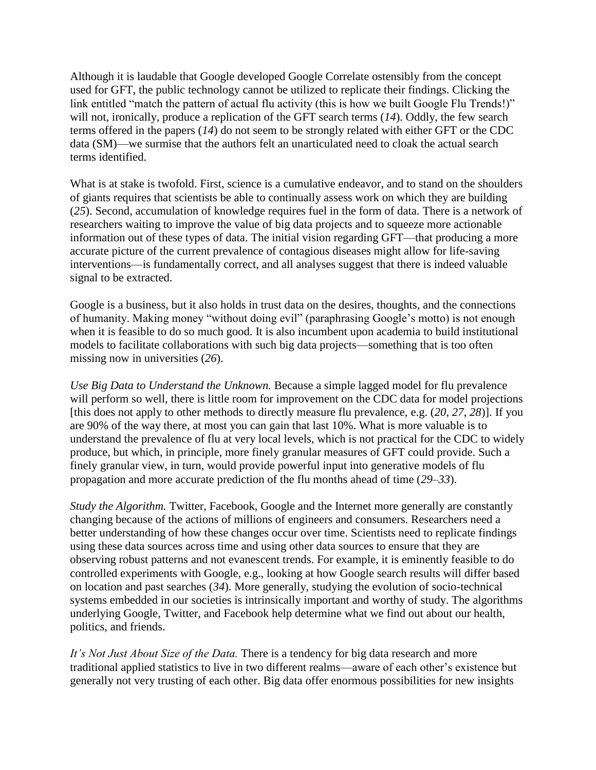Although it is laudable that Google developed Google Correlate ostensibly from the concept used for GFT, the public technology cannot be utilized to replicate their findings. Clicking the link entitled "match the pattern of actual flu activity (this is how we built Google Flu Trends!)" will not, ironically, produce a replication of the GFT search terms (*14*). Oddly, the few search terms offered in the papers (*14*) do not seem to be strongly related with either GFT or the CDC data (SM)—we surmise that the authors felt an unarticulated need to cloak the actual search terms identified.

What is at stake is twofold. First, science is a cumulative endeavor, and to stand on the shoulders of giants requires that scientists be able to continually assess work on which they are building (*25*). Second, accumulation of knowledge requires fuel in the form of data. There is a network of researchers waiting to improve the value of big data projects and to squeeze more actionable information out of these types of data. The initial vision regarding GFT—that producing a more accurate picture of the current prevalence of contagious diseases might allow for life-saving interventions—is fundamentally correct, and all analyses suggest that there is indeed valuable signal to be extracted.

Google is a business, but it also holds in trust data on the desires, thoughts, and the connections of humanity. Making money "without doing evil" (paraphrasing Google's motto) is not enough when it is feasible to do so much good. It is also incumbent upon academia to build institutional models to facilitate collaborations with such big data projects—something that is too often missing now in universities (*26*).

*Use Big Data to Understand the Unknown.* Because a simple lagged model for flu prevalence will perform so well, there is little room for improvement on the CDC data for model projections [this does not apply to other methods to directly measure flu prevalence, e.g. (*20*, *27*, *28*)]. If you are 90% of the way there, at most you can gain that last 10%. What is more valuable is to understand the prevalence of flu at very local levels, which is not practical for the CDC to widely produce, but which, in principle, more finely granular measures of GFT could provide. Such a finely granular view, in turn, would provide powerful input into generative models of flu propagation and more accurate prediction of the flu months ahead of time (*29*–*33*).

*Study the Algorithm.* Twitter, Facebook, Google and the Internet more generally are constantly changing because of the actions of millions of engineers and consumers. Researchers need a better understanding of how these changes occur over time. Scientists need to replicate findings using these data sources across time and using other data sources to ensure that they are observing robust patterns and not evanescent trends. For example, it is eminently feasible to do controlled experiments with Google, e.g., looking at how Google search results will differ based on location and past searches (*34*). More generally, studying the evolution of socio-technical systems embedded in our societies is intrinsically important and worthy of study. The algorithms underlying Google, Twitter, and Facebook help determine what we find out about our health, politics, and friends.

*It's Not Just About Size of the Data.* There is a tendency for big data research and more traditional applied statistics to live in two different realms—aware of each other's existence but generally not very trusting of each other. Big data offer enormous possibilities for new insights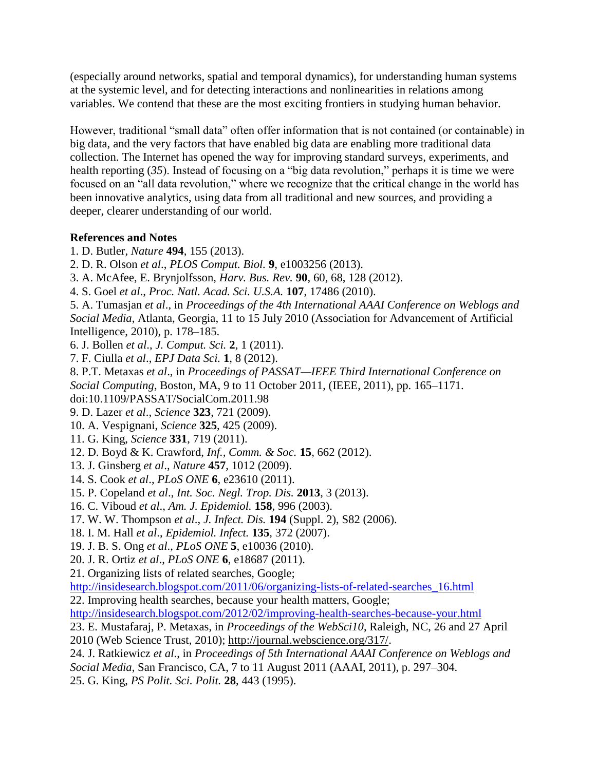(especially around networks, spatial and temporal dynamics), for understanding human systems at the systemic level, and for detecting interactions and nonlinearities in relations among variables. We contend that these are the most exciting frontiers in studying human behavior.

However, traditional "small data" often offer information that is not contained (or containable) in big data, and the very factors that have enabled big data are enabling more traditional data collection. The Internet has opened the way for improving standard surveys, experiments, and health reporting (*35*). Instead of focusing on a "big data revolution," perhaps it is time we were focused on an "all data revolution," where we recognize that the critical change in the world has been innovative analytics, using data from all traditional and new sources, and providing a deeper, clearer understanding of our world.

### **References and Notes**

- 1. D. Butler, *Nature* **494**, 155 (2013).
- 2. D. R. Olson *et al*., *PLOS Comput. Biol.* **9**, e1003256 (2013).
- 3. A. McAfee, E. Brynjolfsson, *Harv. Bus. Rev.* **90**, 60, 68, 128 (2012).
- 4. S. Goel *et al*., *Proc. Natl. Acad. Sci. U.S.A.* **107**, 17486 (2010).

5. A. Tumasjan *et al*., in *Proceedings of the 4th International AAAI Conference on Weblogs and Social Media*, Atlanta, Georgia, 11 to 15 July 2010 (Association for Advancement of Artificial Intelligence, 2010), p. 178–185.

- 6. J. Bollen *et al*., *J. Comput. Sci.* **2**, 1 (2011).
- 7. F. Ciulla *et al*., *EPJ Data Sci.* **1**, 8 (2012).

8. P.T. Metaxas *et al*., in *Proceedings of PASSAT—IEEE Third International Conference on Social Computing*, Boston, MA, 9 to 11 October 2011, (IEEE, 2011), pp. 165–1171.

doi:10.1109/PASSAT/SocialCom.2011.98

- 9. D. Lazer *et al*., *Science* **323**, 721 (2009).
- 10. A. Vespignani, *Science* **325**, 425 (2009).
- 11. G. King, *Science* **331**, 719 (2011).
- 12. D. Boyd & K. Crawford, *Inf., Comm. & Soc.* **15**, 662 (2012).
- 13. J. Ginsberg *et al*., *Nature* **457**, 1012 (2009).
- 14. S. Cook *et al*., *PLoS ONE* **6**, e23610 (2011).
- 15. P. Copeland *et al*., *Int. Soc. Negl. Trop. Dis.* **2013**, 3 (2013).
- 16. C. Viboud *et al*., *Am. J. Epidemiol.* **158**, 996 (2003).
- 17. W. W. Thompson *et al*., *J. Infect. Dis.* **194** (Suppl. 2), S82 (2006).
- 18. I. M. Hall *et al*., *Epidemiol. Infect.* **135**, 372 (2007).
- 19. J. B. S. Ong *et al*., *PLoS ONE* **5**, e10036 (2010).
- 20. J. R. Ortiz *et al*., *PLoS ONE* **6**, e18687 (2011).
- 21. Organizing lists of related searches, Google;

http://insidesearch.blogspot.com/2011/06/organizing-lists-of-related-searches\_16.html

22. Improving health searches, because your health matters, Google;

<http://insidesearch.blogspot.com/2012/02/improving-health-searches-because-your.html>

- 23. E. Mustafaraj, P. Metaxas, in *Proceedings of the WebSci10*, Raleigh, NC, 26 and 27 April 2010 (Web Science Trust, 2010); http://journal.webscience.org/317/.
- 24. J. Ratkiewicz *et al*., in *Proceedings of 5th International AAAI Conference on Weblogs and Social Media*, San Francisco, CA, 7 to 11 August 2011 (AAAI, 2011), p. 297–304.

25. G. King, *PS Polit. Sci. Polit.* **28**, 443 (1995).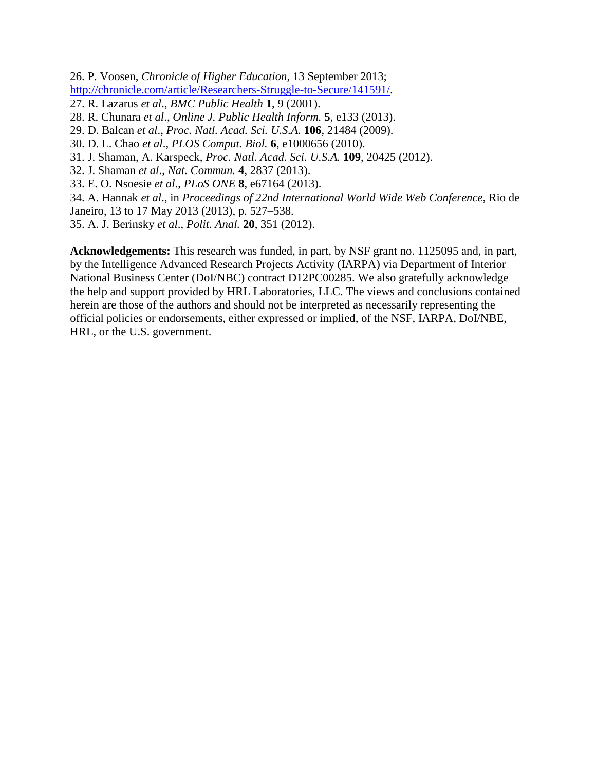- 26. P. Voosen, *Chronicle of Higher Education,* 13 September 2013; [http://chronicle.com/article/Researchers-Struggle-to-Secure/141591/.](http://chronicle.com/article/Researchers-Struggle-to-Secure/141591/)
- 27. R. Lazarus *et al*., *BMC Public Health* **1**, 9 (2001).
- 28. R. Chunara *et al*., *Online J. Public Health Inform.* **5**, e133 (2013).
- 29. D. Balcan *et al*., *Proc. Natl. Acad. Sci. U.S.A.* **106**, 21484 (2009).
- 30. D. L. Chao *et al*., *PLOS Comput. Biol.* **6**, e1000656 (2010).
- 31. J. Shaman, A. Karspeck, *Proc. Natl. Acad. Sci. U.S.A.* **109**, 20425 (2012).
- 32. J. Shaman *et al*., *Nat. Commun.* **4**, 2837 (2013).
- 33. E. O. Nsoesie *et al*., *PLoS ONE* **8**, e67164 (2013).
- 34. A. Hannak *et al*., in *Proceedings of 22nd International World Wide Web Conference*, Rio de Janeiro, 13 to 17 May 2013 (2013), p. 527–538.
- 35. A. J. Berinsky *et al*., *Polit. Anal.* **20**, 351 (2012).

**Acknowledgements:** This research was funded, in part, by NSF grant no. 1125095 and, in part, by the Intelligence Advanced Research Projects Activity (IARPA) via Department of Interior National Business Center (DoI/NBC) contract D12PC00285. We also gratefully acknowledge the help and support provided by HRL Laboratories, LLC. The views and conclusions contained herein are those of the authors and should not be interpreted as necessarily representing the official policies or endorsements, either expressed or implied, of the NSF, IARPA, DoI/NBE, HRL, or the U.S. government.